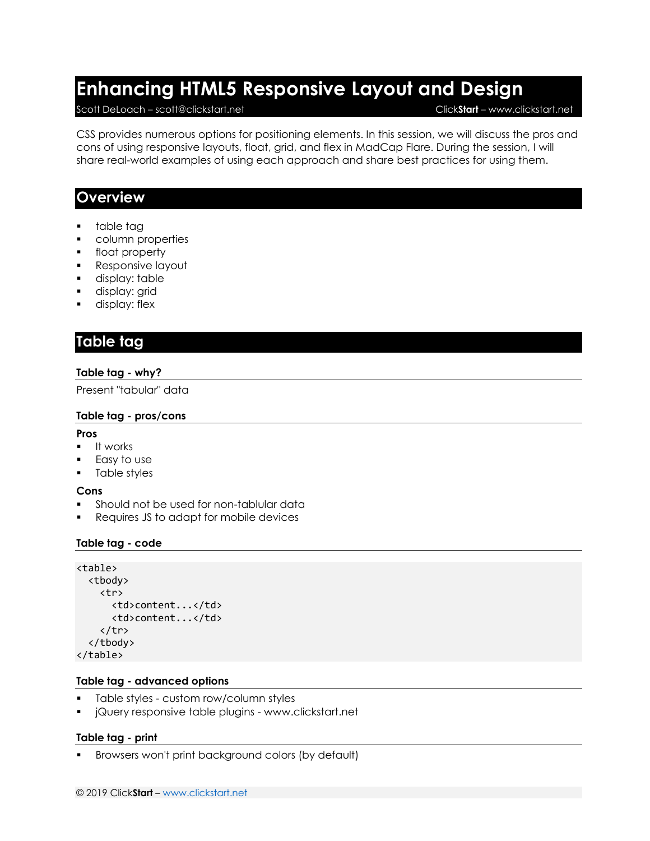# **Enhancing HTML5 Responsive Layout and Design**

#### Scott DeLoach – scott@clickstart.net Click**Start** – www.clickstart.net

CSS provides numerous options for positioning elements. In this session, we will discuss the pros and cons of using responsive layouts, float, grid, and flex in MadCap Flare. During the session, I will share real-world examples of using each approach and share best practices for using them.

### **Overview**

- table tag
- column properties
- float property
- Responsive layout
- **■** display: table
- display: grid
- **■** display: flex

### **Table tag**

#### **Table tag - why?**

Present "tabular" data

#### **Table tag - pros/cons**

#### **Pros**

- It works
- Easy to use
- Table styles

#### **Cons**

- **•** Should not be used for non-tablular data
- Requires JS to adapt for mobile devices

#### **Table tag - code**

```
<table>
   <tbody>
     <tr>
       <td>content...</td>
        <td>content...</td>
    \langle/tr>
   </tbody>
</table>
```
#### **Table tag - advanced options**

- Table styles custom row/column styles
- jQuery responsive table plugins www.clickstart.net

#### **Table tag - print**

Browsers won't print background colors (by default)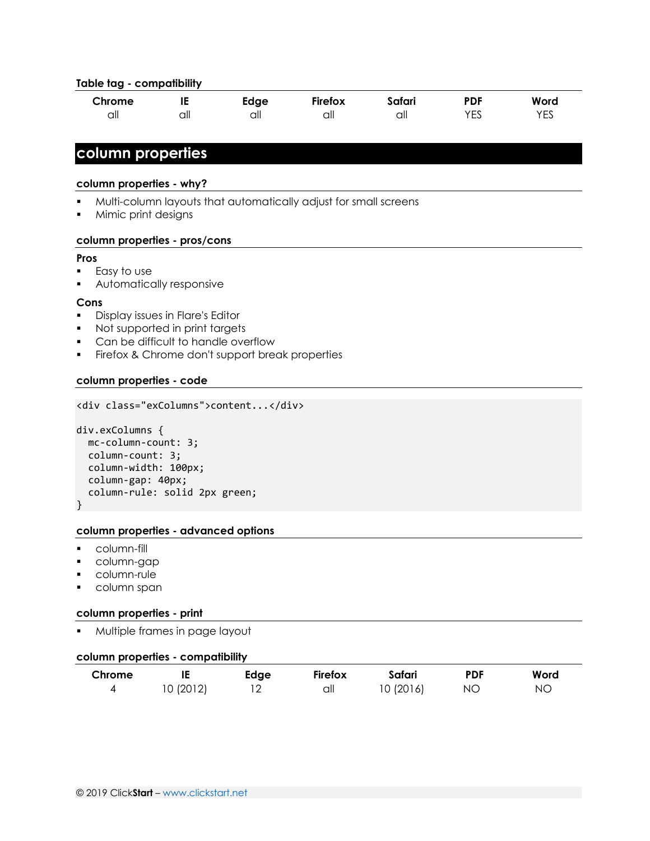#### **Table tag - compatibility**

| Chrome | . . | Edge | Firefox | Safari | PDF         | Word             |
|--------|-----|------|---------|--------|-------------|------------------|
| all    | all | ااا  | all     | all    | $V -$<br>∽∟ | <b>VEC</b><br>نت |

### **column properties**

#### **column properties - why?**

- Multi-column layouts that automatically adjust for small screens
- Mimic print designs

#### **column properties - pros/cons**

#### **Pros**

- Easy to use
- Automatically responsive

#### **Cons**

- Display issues in Flare's Editor
- Not supported in print targets
- Can be difficult to handle overflow
- **•** Firefox & Chrome don't support break properties

#### **column properties - code**

```
<div class="exColumns">content...</div>
```

```
div.exColumns {
   mc-column-count: 3;
   column-count: 3;
   column-width: 100px;
   column-gap: 40px;
   column-rule: solid 2px green;
}
```
#### **column properties - advanced options**

- column-fill
- column-gap
- column-rule
- column span

#### **column properties - print**

Multiple frames in page layout

#### **column properties - compatibility**

| Chrome |           | Edge | <b>Firefox</b> | Safari    | <b>PDF</b> | Word |
|--------|-----------|------|----------------|-----------|------------|------|
|        | 10 (2012) |      | all            | 10 (2016) | NO.        | ΝC   |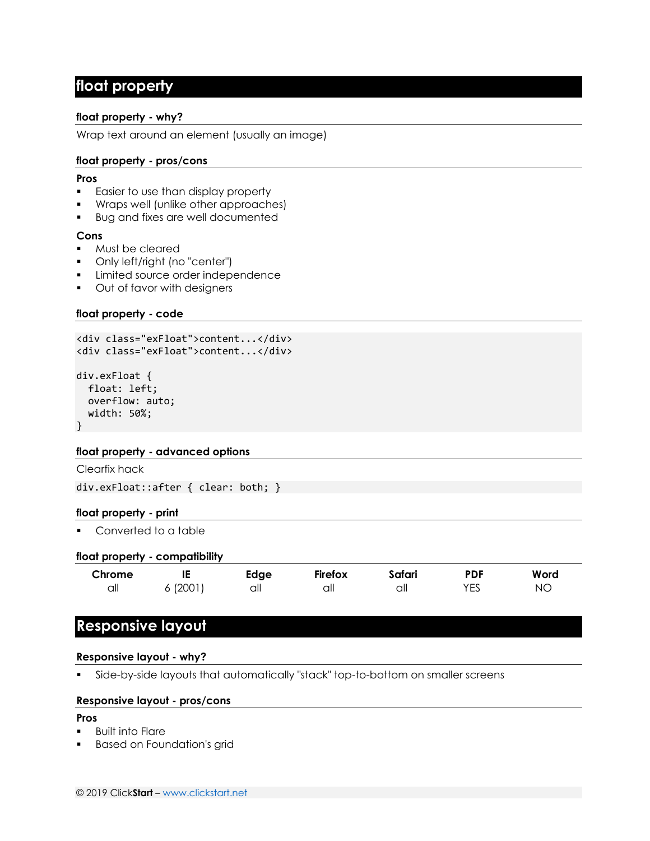### **float property**

#### **float property - why?**

Wrap text around an element (usually an image)

#### **float property - pros/cons**

#### **Pros**

- **Easier to use than display property**
- Wraps well (unlike other approaches)
- Bug and fixes are well documented

#### **Cons**

- Must be cleared
- Only left/right (no "center")
- Limited source order independence
- Out of favor with designers

#### **float property - code**

```
<div class="exFloat">content...</div>
<div class="exFloat">content...</div>
div.exFloat {
```

```
 float: left;
   overflow: auto;
   width: 50%;
}
```
#### **float property - advanced options**

Clearfix hack

div.exFloat::after { clear: both; }

#### **float property - print**

■ Converted to a table

#### **float property - compatibility**

| Chrome |       | Edge | Firefox | Safari | <b>PDF</b> | Word |
|--------|-------|------|---------|--------|------------|------|
| all    | (2001 | all  | all     | all    | VEC<br>∟ບ  | NС   |

### **Responsive layout**

#### **Responsive layout - why?**

Side-by-side layouts that automatically "stack" top-to-bottom on smaller screens

#### **Responsive layout - pros/cons**

#### **Pros**

- Built into Flare
- Based on Foundation's grid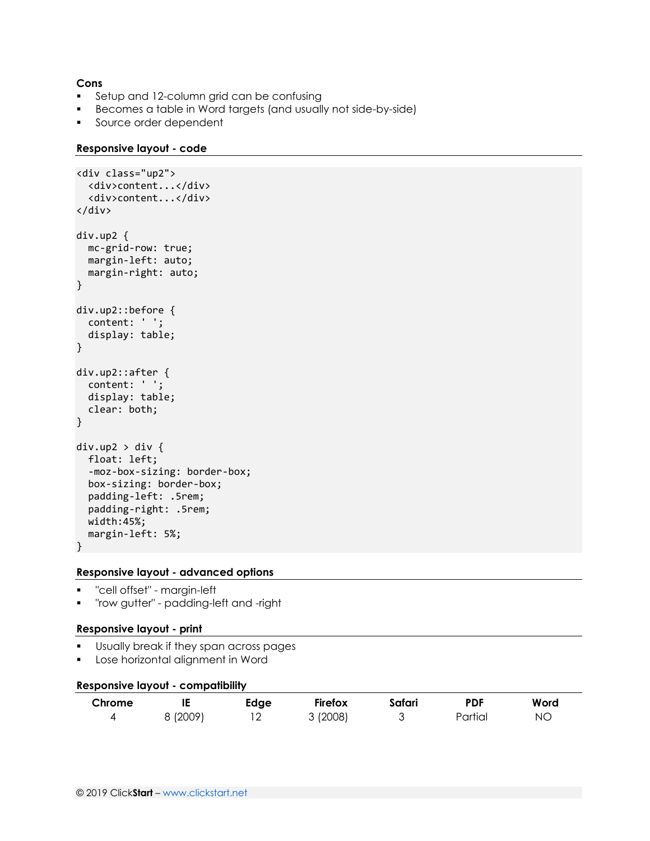#### **Cons**

- **•** Setup and 12-column grid can be confusing
- Becomes a table in Word targets (and usually not side-by-side)
- **•** Source order dependent

#### **Responsive layout - code**

```
<div class="up2">
  <div>content...</div>
   <div>content...</div>
</div>
div.up2 {
   mc-grid-row: true;
   margin-left: auto;
   margin-right: auto;
}
div.up2::before {
   content: ' ';
   display: table;
}
div.up2::after {
   content: ' ';
   display: table;
   clear: both;
}
div.up2 > div {
   float: left;
   -moz-box-sizing: border-box;
   box-sizing: border-box;
   padding-left: .5rem;
   padding-right: .5rem;
   width:45%;
   margin-left: 5%;
}
```
#### **Responsive layout - advanced options**

- "cell offset" margin-left
- "row gutter" padding-left and -right

#### **Responsive layout - print**

- Usually break if they span across pages
- Lose horizontal alignment in Word

#### **Responsive layout - compatibility**

| Chrome |          | Edge | <b>Firefox</b> | Safari | <b>PDF</b> | Word |
|--------|----------|------|----------------|--------|------------|------|
|        | 8 (2009) | ∠    | 3(2008)        |        | Partial    | ΝO   |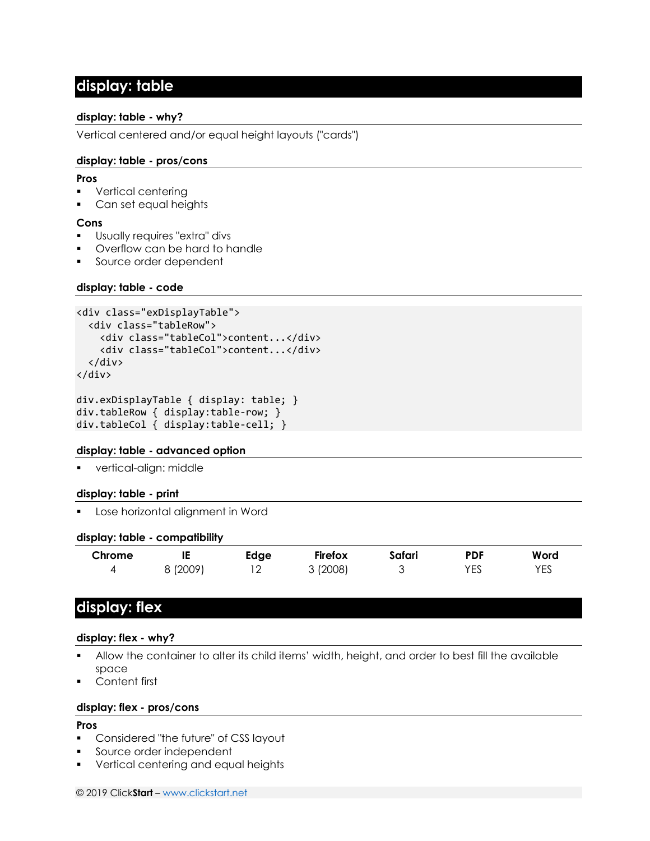### **display: table**

#### **display: table - why?**

Vertical centered and/or equal height layouts ("cards")

#### **display: table - pros/cons**

#### **Pros**

- Vertical centering
- Can set equal heights

#### **Cons**

- Usually requires "extra" divs
- Overflow can be hard to handle
- Source order dependent

#### **display: table - code**

```
<div class="exDisplayTable">
   <div class="tableRow">
     <div class="tableCol">content...</div>
     <div class="tableCol">content...</div>
   </div>
</div>
```

```
div.exDisplayTable { display: table; }
div.tableRow { display:table-row; }
div.tableCol { display:table-cell; }
```
#### **display: table - advanced option**

▪ vertical-align: middle

#### **display: table - print**

Lose horizontal alignment in Word

#### **display: table - compatibility**

| Chrome | IE     | Edge                     | Firefox | Safari | <b>PDF</b> | Word |
|--------|--------|--------------------------|---------|--------|------------|------|
|        | (2009) | $\overline{\phantom{a}}$ | (2008)  | ັ      | VEC<br>∟ບ  | YES  |

### **display: flex**

#### **display: flex - why?**

- Allow the container to alter its child items' width, height, and order to best fill the available space
- Content first

#### **display: flex - pros/cons**

#### **Pros**

- Considered "the future" of CSS layout
- Source order independent
- Vertical centering and equal heights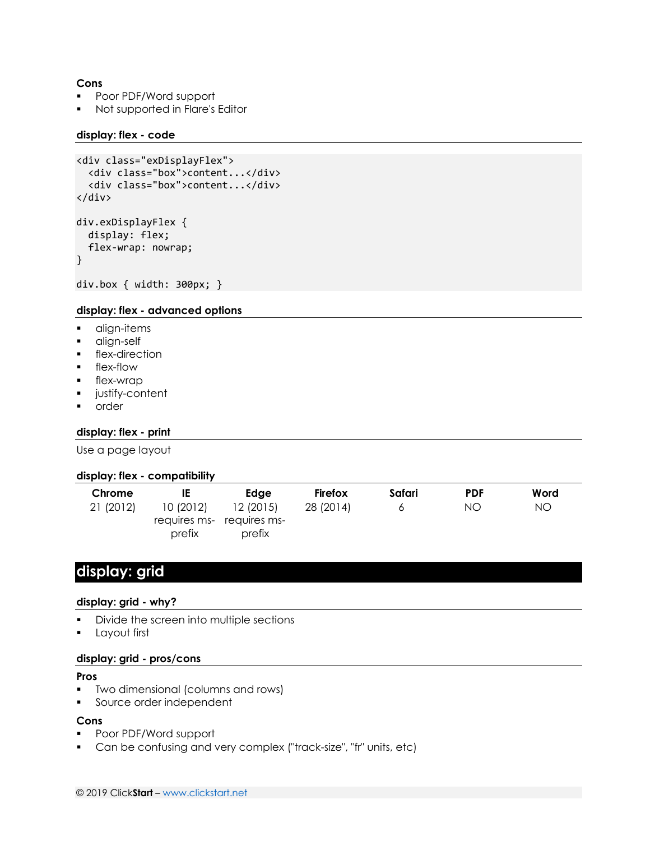#### **Cons**

- Poor PDF/Word support
- Not supported in Flare's Editor

#### **display: flex - code**

```
<div class="exDisplayFlex">
   <div class="box">content...</div>
   <div class="box">content...</div>
</div>
div.exDisplayFlex {
   display: flex;
   flex-wrap: nowrap;
}
```
# div.box { width: 300px; }

#### **display: flex - advanced options**

- align-items
- align-self
- **■** flex-direction
- **•** flex-flow
- flex-wrap
- justify-content
- order

#### **display: flex - print**

Use a page layout

#### **display: flex - compatibility**

| Chrome    | IE                 | Edge                                            | Firefox   | Safari | <b>PDF</b> | Word |
|-----------|--------------------|-------------------------------------------------|-----------|--------|------------|------|
| 21 (2012) | 10(2012)<br>prefix | 12(2015)<br>requires ms- requires ms-<br>prefix | 28 (2014) |        | NΟ         | NO.  |

### **display: grid**

### **display: grid - why?**

- Divide the screen into multiple sections
- Layout first

#### **display: grid - pros/cons**

#### **Pros**

- Two dimensional (columns and rows)
- Source order independent

#### **Cons**

- Poor PDF/Word support
- Can be confusing and very complex ("track-size", "fr" units, etc)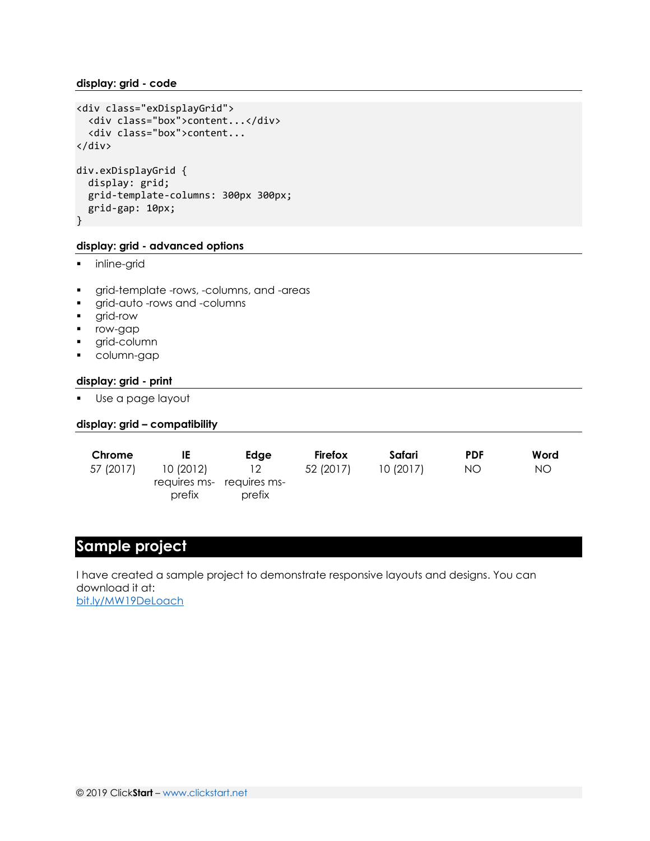```
<div class="exDisplayGrid">
   <div class="box">content...</div>
   <div class="box">content...
</div>
div.exDisplayGrid {
   display: grid;
   grid-template-columns: 300px 300px;
   grid-gap: 10px;
}
```
#### **display: grid - advanced options**

- **·** inline-grid
- **•** grid-template -rows, -columns, and -areas
- grid-auto -rows and -columns
- grid-row
- row-gap
- grid-column
- column-gap

#### **display: grid - print**

▪ Use a page layout

#### **display: grid – compatibility**

| Chrome    | IE        | Edae                      | Firefox   | Safari    | <b>PDF</b> | Word |
|-----------|-----------|---------------------------|-----------|-----------|------------|------|
| 57 (2017) | 10 (2012) | 12                        | 52 (2017) | 10 (2017) | NO.        | NO   |
|           |           | requires ms- requires ms- |           |           |            |      |
|           | prefix    | prefix                    |           |           |            |      |

### **Sample project**

I have created a sample project to demonstrate responsive layouts and designs. You can download it at: [bit.ly/MW19DeLoach](http://bit.ly/MW19DeLoach)